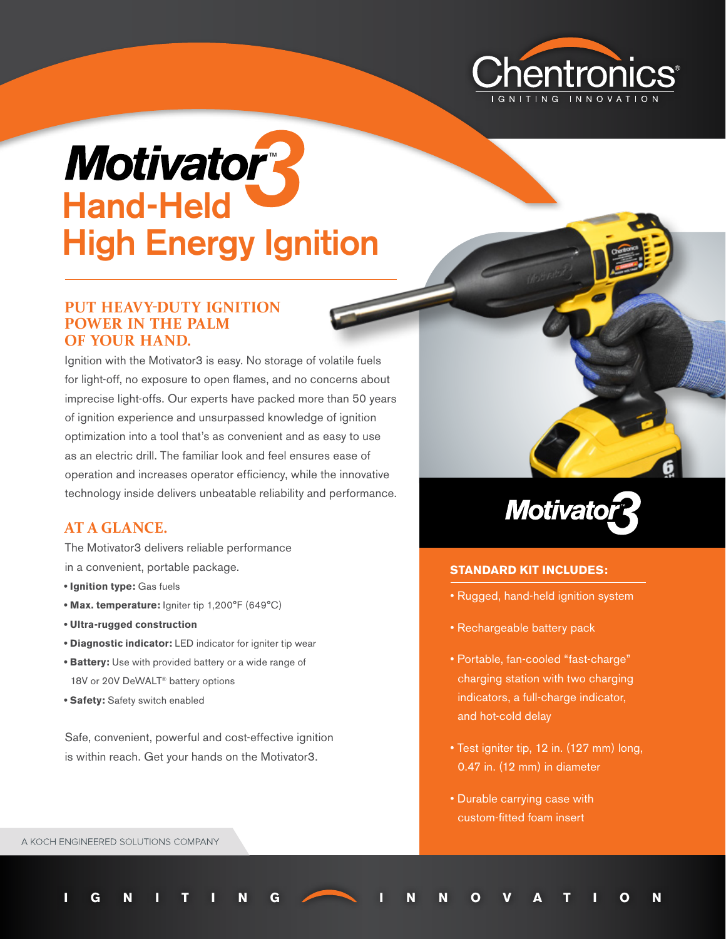

# **Motivatory** Hand-Held High Energy Ignition

## **PUT HEAVY-DUTY IGNITION POWER IN THE PALM OF YOUR HAND.**

Ignition with the Motivator3 is easy. No storage of volatile fuels for light-off, no exposure to open flames, and no concerns about imprecise light-offs. Our experts have packed more than 50 years of ignition experience and unsurpassed knowledge of ignition optimization into a tool that's as convenient and as easy to use as an electric drill. The familiar look and feel ensures ease of operation and increases operator efficiency, while the innovative technology inside delivers unbeatable reliability and performance.

# **AT A GLANCE.**

The Motivator3 delivers reliable performance in a convenient, portable package.

- **Ignition type:** Gas fuels
- **Max. temperature:** Igniter tip 1,200°F (649°C)
- **Ultra-rugged construction**
- **Diagnostic indicator:** LED indicator for igniter tip wear
- **Battery:** Use with provided battery or a wide range of 18V or 20V DeWALT<sup>®</sup> battery options
- **Safety:** Safety switch enabled

Safe, convenient, powerful and cost-effective ignition is within reach. Get your hands on the Motivator3.



#### **STANDARD KIT INCLUDES:**

- Rugged, hand-held ignition system
- Rechargeable battery pack
- Portable, fan-cooled "fast-charge" charging station with two charging indicators, a full-charge indicator, and hot-cold delay
- Test igniter tip, 12 in. (127 mm) long, 0.47 in. (12 mm) in diameter
- Durable carrying case with custom-fitted foam insert

**IGNITING INNOVATION**

A KOCH ENGINEERED SOLUTIONS COMPANY